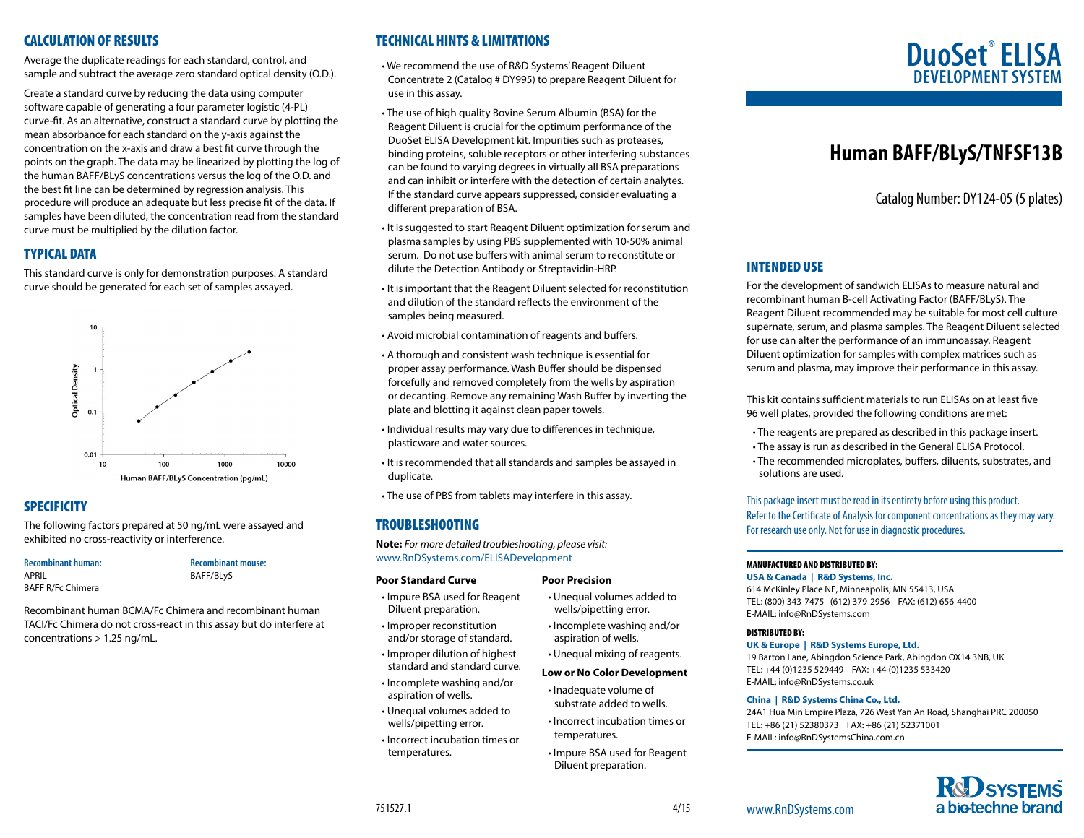# CALCULATION OF RESULTS

Average the duplicate readings for each standard, control, and sample and subtract the average zero standard optical density (O.D.).

Create a standard curve by reducing the data using computer software capable of generating a four parameter logistic (4-PL) curve-fit. As an alternative, construct a standard curve by plotting the mean absorbance for each standard on the y-axis against the concentration on the x-axis and draw a best fit curve through the points on the graph. The data may be linearized by plotting the log of the human BAFF/BLyS concentrations versus the log of the O.D. and the best fit line can be determined by regression analysis. This procedure will produce an adequate but less precise fit of the data. If samples have been diluted, the concentration read from the standard curve must be multiplied by the dilution factor.

# TYPICAL DATA

This standard curve is only for demonstration purposes. A standard curve should be generated for each set of samples assayed.



# **SPECIFICITY**

The following factors prepared at 50 ng/mL were assayed and exhibited no cross-reactivity or interference.

# **Recombinant human:**

APRIL BAFF R/Fc Chimera **Recombinant mouse:** BAFF/BLyS

Recombinant human BCMA/Fc Chimera and recombinant human TACI/Fc Chimera do not cross-react in this assay but do interfere at concentrations > 1.25 ng/mL.

# TECHNICAL HINTS & LIMITATIONS

• We recommend the use of R&D Systems' Reagent Diluent Concentrate 2 (Catalog # DY995) to prepare Reagent Diluent for use in this assay.

- The use of high quality Bovine Serum Albumin (BSA) for the Reagent Diluent is crucial for the optimum performance of the DuoSet ELISA Development kit. Impurities such as proteases, binding proteins, soluble receptors or other interfering substances can be found to varying degrees in virtually all BSA preparations and can inhibit or interfere with the detection of certain analytes. If the standard curve appears suppressed, consider evaluating a different preparation of BSA.
- It is suggested to start Reagent Diluent optimization for serum and plasma samples by using PBS supplemented with 10-50% animal serum. Do not use buffers with animal serum to reconstitute or dilute the Detection Antibody or Streptavidin-HRP.
- It is important that the Reagent Diluent selected for reconstitution and dilution of the standard reflects the environment of the samples being measured.
- Avoid microbial contamination of reagents and buffers.
- A thorough and consistent wash technique is essential for proper assay performance. Wash Buffer should be dispensed forcefully and removed completely from the wells by aspiration or decanting. Remove any remaining Wash Buffer by inverting the plate and blotting it against clean paper towels.
- Individual results may vary due to differences in technique, plasticware and water sources.
- It is recommended that all standards and samples be assayed in duplicate.
- The use of PBS from tablets may interfere in this assay.

# TROUBLESHOOTING

**Note:** *For more detailed troubleshooting, please visit:* www.RnDSystems.com/ELISADevelopment

#### **Poor Standard Curve**

- Impure BSA used for Reagent Diluent preparation.
- Improper reconstitution and/or storage of standard.
- Improper dilution of highest standard and standard curve.
- Incomplete washing and/or aspiration of wells.
- Unequal volumes added to wells/pipetting error.
- Incorrect incubation times or temperatures.

#### **Poor Precision**

- Unequal volumes added to wells/pipetting error.
- Incomplete washing and/or aspiration of wells.
- Unequal mixing of reagents.
- **Low or No Color Development**
- Inadequate volume of substrate added to wells.
- Incorrect incubation times or temperatures.
- Impure BSA used for Reagent Diluent preparation.

# **DuoSet**®  **ELISA DEVELOPMENT SYS**

# **Human BAFF/BLyS/TNFSF13B**

Catalog Number: DY124-05 (5 plates)

# INTENDED USE

For the development of sandwich ELISAs to measure natural and recombinant human B-cell Activating Factor (BAFF/BLyS). The Reagent Diluent recommended may be suitable for most cell culture supernate, serum, and plasma samples. The Reagent Diluent selected for use can alter the performance of an immunoassay. Reagent Diluent optimization for samples with complex matrices such as serum and plasma, may improve their performance in this assay.

This kit contains sufficient materials to run ELISAs on at least five 96 well plates, provided the following conditions are met:

- The reagents are prepared as described in this package insert.
- The assay is run as described in the General ELISA Protocol.
- The recommended microplates, buffers, diluents, substrates, and solutions are used.

This package insert must be read in its entirety before using this product. Refer to the Certificate of Analysis for component concentrations as they may vary. For research use only. Not for use in diagnostic procedures.

## MANUFACTURED AND DISTRIBUTED BY:

**USA & Canada | R&D Systems, Inc.** 

614 McKinley Place NE, Minneapolis, MN 55413, USA TEL: (800) 343-7475 (612) 379-2956 FAX: (612) 656-4400 E-MAIL: info@RnDSystems.com

#### DISTRIBUTED BY:

**UK & Europe | R&D Systems Europe, Ltd.**

19 Barton Lane, Abingdon Science Park, Abingdon OX14 3NB, UK TEL: +44 (0)1235 529449 FAX: +44 (0)1235 533420 E-MAIL: info@RnDSystems.co.uk

#### **China | R&D Systems China Co., Ltd.**

24A1 Hua Min Empire Plaza, 726 West Yan An Road, Shanghai PRC 200050 TEL: +86 (21) 52380373 FAX: +86 (21) 52371001 E-MAIL: info@RnDSystemsChina.com.cn